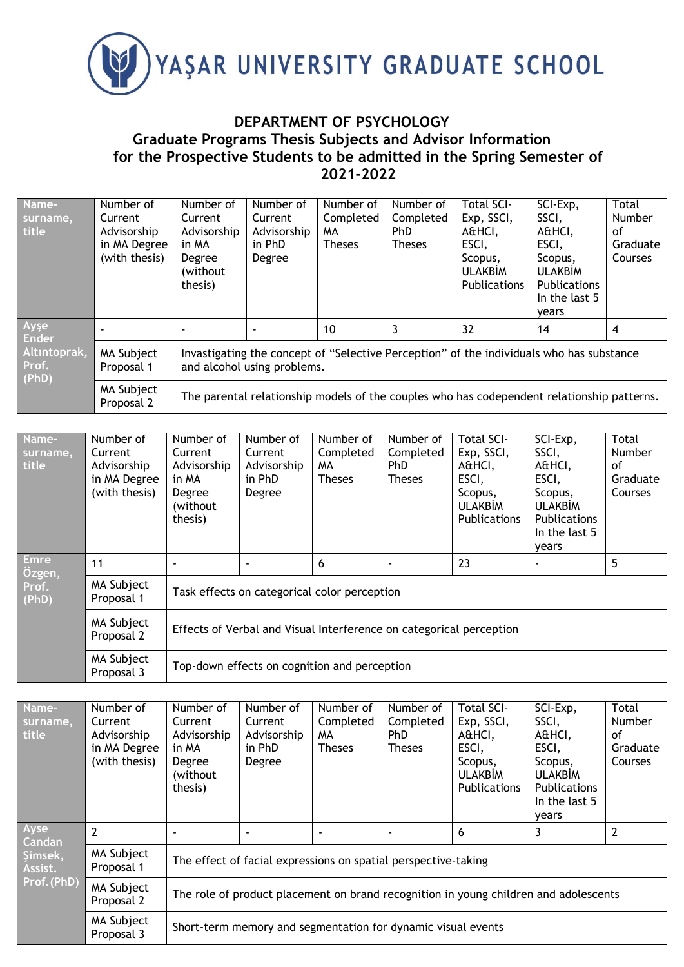

## **DEPARTMENT OF PSYCHOLOGY Graduate Programs Thesis Subjects and Advisor Information for the Prospective Students to be admitted in the Spring Semester of 2021-2022**

| Name-<br>surname,<br>title     | Number of<br>Current<br>Advisorship<br>in MA Degree<br>(with thesis) | Number of<br>Current<br>Advisorship<br>in MA<br>Degree<br>(without<br>thesis)                                           | Number of<br>Current<br>Advisorship<br>in PhD<br>Degree | Number of<br>Completed<br>MА<br><b>Theses</b> | Number of<br>Completed<br>PhD<br><b>Theses</b> | Total SCI-<br>Exp, SSCI,<br>A&HCI,<br>ESCI,<br>Scopus,<br><b>ULAKBIM</b><br>Publications   | SCI-Exp,<br>SSCI,<br>A&HCI,<br>ESCI,<br>Scopus,<br><b>ULAKBIM</b><br>Publications<br>In the last 5<br>vears | Total<br>Number<br>οf<br>Graduate<br><b>Courses</b> |  |
|--------------------------------|----------------------------------------------------------------------|-------------------------------------------------------------------------------------------------------------------------|---------------------------------------------------------|-----------------------------------------------|------------------------------------------------|--------------------------------------------------------------------------------------------|-------------------------------------------------------------------------------------------------------------|-----------------------------------------------------|--|
| Ayşe<br><b>Ender</b>           |                                                                      |                                                                                                                         |                                                         | 10                                            | 3                                              | 32                                                                                         | 14                                                                                                          | 4                                                   |  |
| Altıntoprak,<br>Prof.<br>(PhD) | MA Subject<br>Proposal 1                                             | Invastigating the concept of "Selective Perception" of the individuals who has substance<br>and alcohol using problems. |                                                         |                                               |                                                |                                                                                            |                                                                                                             |                                                     |  |
|                                | MA Subject<br>Proposal 2                                             |                                                                                                                         |                                                         |                                               |                                                | The parental relationship models of the couples who has codependent relationship patterns. |                                                                                                             |                                                     |  |

| Name-<br>surname,<br>title | Number of<br>Current<br>Advisorship<br>in MA Degree<br>(with thesis) | Number of<br>Current<br>Advisorship<br>in MA<br>Degree<br>(without<br>thesis) | Number of<br>Current<br>Advisorship<br>in PhD<br>Degree             | Number of<br>Completed<br>MA.<br><b>Theses</b> | Number of<br>Completed<br><b>PhD</b><br><b>Theses</b> | Total SCI-<br>Exp, SSCI,<br>A&HCI,<br>ESCI,<br>Scopus,<br><b>ULAKBIM</b><br><b>Publications</b> | SCI-Exp,<br>SSCI,<br>A&HCI,<br>ESCI,<br>Scopus,<br><b>ULAKBİM</b><br><b>Publications</b><br>In the last 5<br>years | Total<br><b>Number</b><br>οf<br>Graduate<br>Courses |  |  |
|----------------------------|----------------------------------------------------------------------|-------------------------------------------------------------------------------|---------------------------------------------------------------------|------------------------------------------------|-------------------------------------------------------|-------------------------------------------------------------------------------------------------|--------------------------------------------------------------------------------------------------------------------|-----------------------------------------------------|--|--|
| <b>Emre</b><br>Özgen,      | 11                                                                   |                                                                               | ٠                                                                   | 6                                              |                                                       | 23                                                                                              |                                                                                                                    | 5                                                   |  |  |
| Prof.<br>(PhD)             | MA Subject<br>Proposal 1                                             | Task effects on categorical color perception                                  |                                                                     |                                                |                                                       |                                                                                                 |                                                                                                                    |                                                     |  |  |
|                            | MA Subject<br>Proposal 2                                             |                                                                               | Effects of Verbal and Visual Interference on categorical perception |                                                |                                                       |                                                                                                 |                                                                                                                    |                                                     |  |  |
|                            | MA Subject<br>Proposal 3                                             |                                                                               | Top-down effects on cognition and perception                        |                                                |                                                       |                                                                                                 |                                                                                                                    |                                                     |  |  |

| Name-<br>surname,<br>title                                 | Number of<br>Current<br>Advisorship<br>in MA Degree<br>(with thesis) | Number of<br>Current<br>Advisorship<br>in MA<br>Degree<br>(without<br>thesis) | Number of<br>Current<br>Advisorship<br>in PhD<br>Degree                              | Number of<br>Completed<br>MA.<br><b>Theses</b> | Number of<br>Completed<br>PhD.<br><b>Theses</b> | <b>Total SCI-</b><br>Exp, SSCI,<br>A&HCI,<br>ESCI,<br>Scopus,<br><b>ULAKBIM</b><br><b>Publications</b> | SCI-Exp,<br>SSCI,<br>A&HCI,<br>ESCI,<br>Scopus,<br><b>ULAKBIM</b><br><b>Publications</b><br>In the last 5<br>years | Total<br><b>Number</b><br>Ωf<br>Graduate<br><b>Courses</b> |  |  |
|------------------------------------------------------------|----------------------------------------------------------------------|-------------------------------------------------------------------------------|--------------------------------------------------------------------------------------|------------------------------------------------|-------------------------------------------------|--------------------------------------------------------------------------------------------------------|--------------------------------------------------------------------------------------------------------------------|------------------------------------------------------------|--|--|
| Ayse<br><b>Candan</b><br>Şimsek,<br>Assist.<br>Prof. (PhD) | $\overline{2}$                                                       |                                                                               |                                                                                      |                                                |                                                 | 6                                                                                                      | 3                                                                                                                  |                                                            |  |  |
|                                                            | MA Subject<br>Proposal 1                                             | The effect of facial expressions on spatial perspective-taking                |                                                                                      |                                                |                                                 |                                                                                                        |                                                                                                                    |                                                            |  |  |
|                                                            | MA Subject<br>Proposal 2                                             |                                                                               | The role of product placement on brand recognition in young children and adolescents |                                                |                                                 |                                                                                                        |                                                                                                                    |                                                            |  |  |
|                                                            | MA Subject<br>Proposal 3                                             |                                                                               | Short-term memory and segmentation for dynamic visual events                         |                                                |                                                 |                                                                                                        |                                                                                                                    |                                                            |  |  |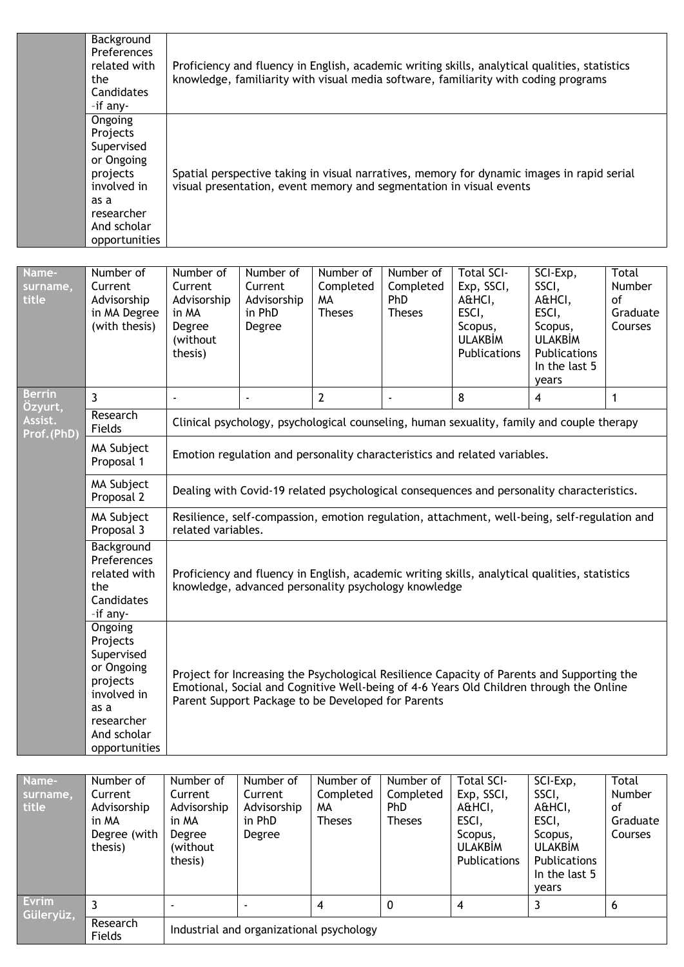|                            | Background<br>Preferences<br>related with<br>the<br>Candidates<br>-if any-                                                       |                                                                               | Proficiency and fluency in English, academic writing skills, analytical qualities, statistics<br>knowledge, familiarity with visual media software, familiarity with coding programs |                                               |                                                       |                                                                                                                                                                   |                                                                                                             |                                                     |  |  |  |  |  |
|----------------------------|----------------------------------------------------------------------------------------------------------------------------------|-------------------------------------------------------------------------------|--------------------------------------------------------------------------------------------------------------------------------------------------------------------------------------|-----------------------------------------------|-------------------------------------------------------|-------------------------------------------------------------------------------------------------------------------------------------------------------------------|-------------------------------------------------------------------------------------------------------------|-----------------------------------------------------|--|--|--|--|--|
|                            | Ongoing<br>Projects<br>Supervised<br>or Ongoing<br>projects<br>involved in<br>as a<br>researcher<br>And scholar<br>opportunities |                                                                               |                                                                                                                                                                                      |                                               |                                                       | Spatial perspective taking in visual narratives, memory for dynamic images in rapid serial<br>visual presentation, event memory and segmentation in visual events |                                                                                                             |                                                     |  |  |  |  |  |
| Name-<br>surname,<br>title | Number of<br>Current<br>Advisorship<br>in MA Degree<br>(with thesis)                                                             | Number of<br>Current<br>Advisorship<br>in MA<br>Degree<br>(without<br>thesis) | Number of<br>Current<br>Advisorship<br>in PhD<br>Degree                                                                                                                              | Number of<br>Completed<br>MA<br><b>Theses</b> | Number of<br>Completed<br><b>PhD</b><br><b>Theses</b> | <b>Total SCI-</b><br>Exp, SSCI,<br>A&HCI,<br>ESCI,<br>Scopus,<br><b>ULAKBİM</b><br>Publications                                                                   | SCI-Exp,<br>SSCI,<br>A&HCI,<br>ESCI,<br>Scopus,<br><b>ULAKBIM</b><br>Publications<br>In the last 5<br>years | Total<br><b>Number</b><br>of<br>Graduate<br>Courses |  |  |  |  |  |
| <b>Berrin</b><br>Ozyurt,   | $\mathbf{3}$<br><b>Research</b>                                                                                                  |                                                                               |                                                                                                                                                                                      | $\overline{2}$                                |                                                       | $\mathbf{8}$                                                                                                                                                      | 4                                                                                                           | 1                                                   |  |  |  |  |  |

| surname,<br>title        | Current<br>Advisorship<br>in MA Degree<br>(with thesis)                                                                          | Current<br>Advisorship<br>in MA<br>Degree<br>(without<br>thesis)                                                                                      | Current<br>Advisorship<br>in PhD<br>Degree                                                | Completed<br>MA<br><b>Theses</b> | Completed<br>PhD<br><b>Theses</b> | EXP, SSCI,<br>A&HCI,<br>ESCI,<br>Scopus,<br><b>ULAKBIM</b><br>Publications | SSCI,<br>A&HCI,<br>ESCI,<br>Scopus,<br><b>ULAKBİM</b><br>Publications<br>In the last 5<br>years                                                                                       | <b>Number</b><br><sub>of</sub><br>Graduate<br>Courses |  |  |  |
|--------------------------|----------------------------------------------------------------------------------------------------------------------------------|-------------------------------------------------------------------------------------------------------------------------------------------------------|-------------------------------------------------------------------------------------------|----------------------------------|-----------------------------------|----------------------------------------------------------------------------|---------------------------------------------------------------------------------------------------------------------------------------------------------------------------------------|-------------------------------------------------------|--|--|--|
| <b>Berrin</b><br>Özyurt, | $\overline{3}$                                                                                                                   |                                                                                                                                                       |                                                                                           | $\overline{2}$                   | ÷,                                | 8                                                                          | 4                                                                                                                                                                                     | 1                                                     |  |  |  |
| Assist.<br>Prof.(PhD)    | Research<br>Fields                                                                                                               |                                                                                                                                                       | Clinical psychology, psychological counseling, human sexuality, family and couple therapy |                                  |                                   |                                                                            |                                                                                                                                                                                       |                                                       |  |  |  |
|                          | MA Subject<br>Proposal 1                                                                                                         |                                                                                                                                                       |                                                                                           |                                  |                                   | Emotion regulation and personality characteristics and related variables.  |                                                                                                                                                                                       |                                                       |  |  |  |
|                          | MA Subject<br>Proposal 2                                                                                                         | Dealing with Covid-19 related psychological consequences and personality characteristics.                                                             |                                                                                           |                                  |                                   |                                                                            |                                                                                                                                                                                       |                                                       |  |  |  |
|                          | MA Subject<br>Proposal 3                                                                                                         | Resilience, self-compassion, emotion regulation, attachment, well-being, self-regulation and<br>related variables.                                    |                                                                                           |                                  |                                   |                                                                            |                                                                                                                                                                                       |                                                       |  |  |  |
|                          | Background<br>Preferences<br>related with<br>the<br>Candidates<br>-if any-                                                       | Proficiency and fluency in English, academic writing skills, analytical qualities, statistics<br>knowledge, advanced personality psychology knowledge |                                                                                           |                                  |                                   |                                                                            |                                                                                                                                                                                       |                                                       |  |  |  |
|                          | Ongoing<br>Projects<br>Supervised<br>or Ongoing<br>projects<br>involved in<br>as a<br>researcher<br>And scholar<br>opportunities |                                                                                                                                                       | Parent Support Package to be Developed for Parents                                        |                                  |                                   |                                                                            | Project for Increasing the Psychological Resilience Capacity of Parents and Supporting the<br>Emotional, Social and Cognitive Well-being of 4-6 Years Old Children through the Online |                                                       |  |  |  |

| Name-<br>surname,<br>title | Number of<br>Current<br>Advisorship<br>in MA<br>Degree (with<br>thesis) | Number of<br>Current<br>Advisorship<br>in MA<br>Degree<br>(without<br>thesis) | Number of<br>Current<br>Advisorship<br>in PhD<br>Degree | Number of<br>Completed<br>MА<br><b>Theses</b> | Number of<br>Completed<br><b>PhD</b><br><b>Theses</b> | <b>Total SCI-</b><br>Exp, SSCI,<br>A&HCI,<br>ESCI,<br>Scopus,<br><b>ULAKBIM</b><br><b>Publications</b> | SCI-Exp,<br>SSCI,<br>A&HCI,<br>ESCI,<br>Scopus,<br><b>ULAKBIM</b><br><b>Publications</b><br>In the last 5<br>vears | Total<br><b>Number</b><br>οf<br>Graduate<br><b>Courses</b> |  |  |
|----------------------------|-------------------------------------------------------------------------|-------------------------------------------------------------------------------|---------------------------------------------------------|-----------------------------------------------|-------------------------------------------------------|--------------------------------------------------------------------------------------------------------|--------------------------------------------------------------------------------------------------------------------|------------------------------------------------------------|--|--|
| Evrim<br>Güleryüz,         | 3                                                                       |                                                                               |                                                         | 4                                             | 0                                                     | 4                                                                                                      | 3                                                                                                                  | 6                                                          |  |  |
|                            | Research<br>Fields                                                      |                                                                               | Industrial and organizational psychology                |                                               |                                                       |                                                                                                        |                                                                                                                    |                                                            |  |  |